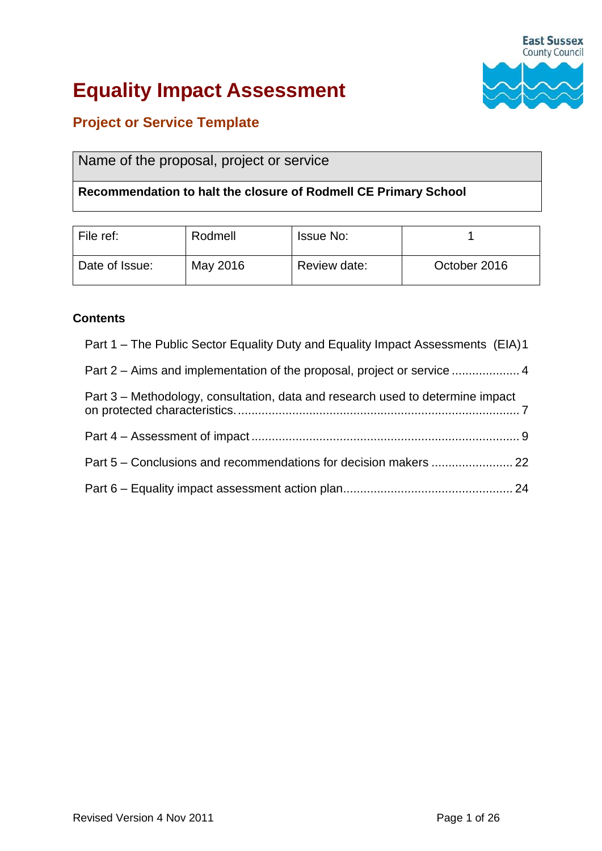

# **Equality Impact Assessment**

# **Project or Service Template**

# Name of the proposal, project or service

### **Recommendation to halt the closure of Rodmell CE Primary School**

| File ref:      | Rodmell  | <b>Issue No:</b> |              |
|----------------|----------|------------------|--------------|
| Date of Issue: | May 2016 | Review date:     | October 2016 |

#### **Contents**

- Part 1 [The Public Sector Equality Duty and Equality Impact Assessments \(EIA\)1](#page-1-0) Part 2 – [Aims and implementation of the proposal, project or service](#page-4-0) .................... 4 Part 3 – [Methodology, consultation, data and research used to determine impact](#page-7-0)  [on protected characteristics....................................................................................](#page-7-0) 7 Part 4 – Assessment of impact [...............................................................................](#page-9-0) 9 Part 5 – [Conclusions and recommendations for decision makers](#page-22-0) ........................ 22
- Part 6 [Equality impact assessment action plan..................................................](#page-24-0) 24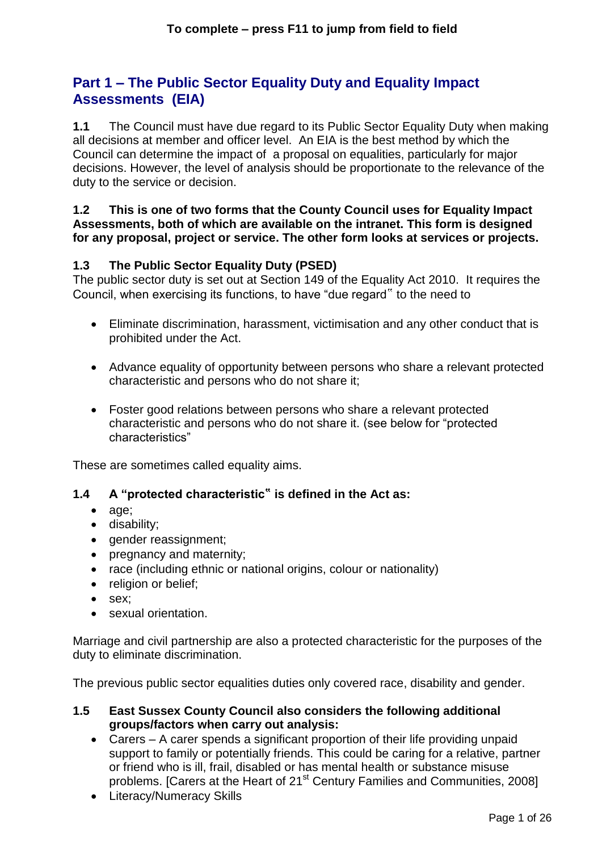# <span id="page-1-0"></span>**Part 1 – The Public Sector Equality Duty and Equality Impact Assessments (EIA)**

**1.1** The Council must have due regard to its Public Sector Equality Duty when making all decisions at member and officer level. An EIA is the best method by which the Council can determine the impact of a proposal on equalities, particularly for major decisions. However, the level of analysis should be proportionate to the relevance of the duty to the service or decision.

#### **1.2 This is one of two forms that the County Council uses for Equality Impact Assessments, both of which are available on the intranet. This form is designed for any proposal, project or service. The other form looks at services or projects.**

# **1.3 The Public Sector Equality Duty (PSED)**

The public sector duty is set out at Section 149 of the Equality Act 2010. It requires the Council, when exercising its functions, to have "due regard" to the need to

- Eliminate discrimination, harassment, victimisation and any other conduct that is prohibited under the Act.
- Advance equality of opportunity between persons who share a relevant protected characteristic and persons who do not share it;
- Foster good relations between persons who share a relevant protected characteristic and persons who do not share it. (see below for "protected characteristics"

These are sometimes called equality aims.

# **1.4 A "protected characteristic**" **is defined in the Act as:**

- age;
- disability;
- gender reassignment;
- pregnancy and maternity;
- race (including ethnic or national origins, colour or nationality)
- religion or belief;
- sex:
- sexual orientation.

Marriage and civil partnership are also a protected characteristic for the purposes of the duty to eliminate discrimination.

The previous public sector equalities duties only covered race, disability and gender.

#### **1.5 East Sussex County Council also considers the following additional groups/factors when carry out analysis:**

- Carers A carer spends a significant proportion of their life providing unpaid support to family or potentially friends. This could be caring for a relative, partner or friend who is ill, frail, disabled or has mental health or substance misuse problems. [Carers at the Heart of 21<sup>st</sup> Century Families and Communities, 2008]
- Literacy/Numeracy Skills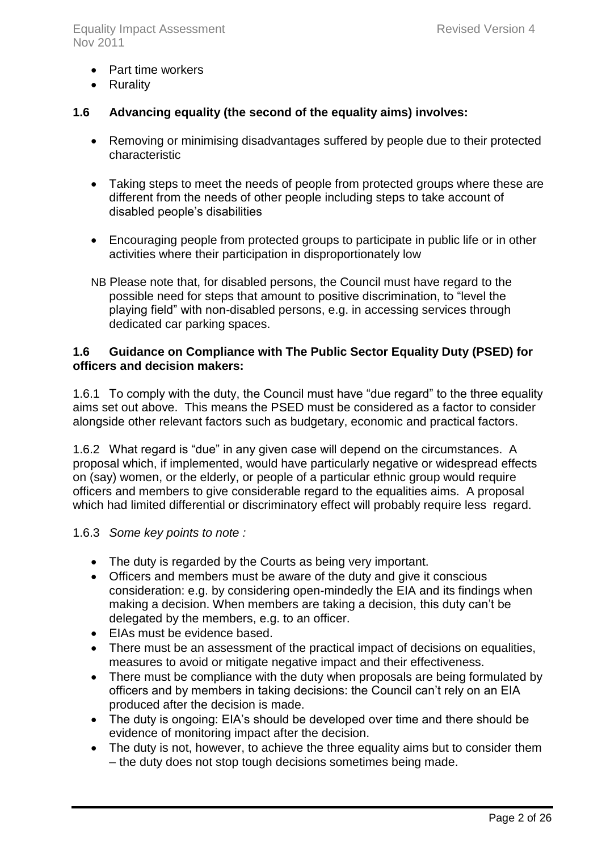- Part time workers
- Rurality

### **1.6 Advancing equality (the second of the equality aims) involves:**

- Removing or minimising disadvantages suffered by people due to their protected characteristic
- Taking steps to meet the needs of people from protected groups where these are different from the needs of other people including steps to take account of disabled people's disabilities
- Encouraging people from protected groups to participate in public life or in other activities where their participation in disproportionately low
- NB Please note that, for disabled persons, the Council must have regard to the possible need for steps that amount to positive discrimination, to "level the playing field" with non-disabled persons, e.g. in accessing services through dedicated car parking spaces.

#### **1.6 Guidance on Compliance with The Public Sector Equality Duty (PSED) for officers and decision makers:**

1.6.1 To comply with the duty, the Council must have "due regard" to the three equality aims set out above. This means the PSED must be considered as a factor to consider alongside other relevant factors such as budgetary, economic and practical factors.

1.6.2 What regard is "due" in any given case will depend on the circumstances. A proposal which, if implemented, would have particularly negative or widespread effects on (say) women, or the elderly, or people of a particular ethnic group would require officers and members to give considerable regard to the equalities aims. A proposal which had limited differential or discriminatory effect will probably require less regard.

#### 1.6.3 *Some key points to note :*

- The duty is regarded by the Courts as being very important.
- Officers and members must be aware of the duty and give it conscious consideration: e.g. by considering open-mindedly the EIA and its findings when making a decision. When members are taking a decision, this duty can't be delegated by the members, e.g. to an officer.
- EIAs must be evidence based.
- There must be an assessment of the practical impact of decisions on equalities, measures to avoid or mitigate negative impact and their effectiveness.
- There must be compliance with the duty when proposals are being formulated by officers and by members in taking decisions: the Council can't rely on an EIA produced after the decision is made.
- The duty is ongoing: EIA's should be developed over time and there should be evidence of monitoring impact after the decision.
- The duty is not, however, to achieve the three equality aims but to consider them – the duty does not stop tough decisions sometimes being made.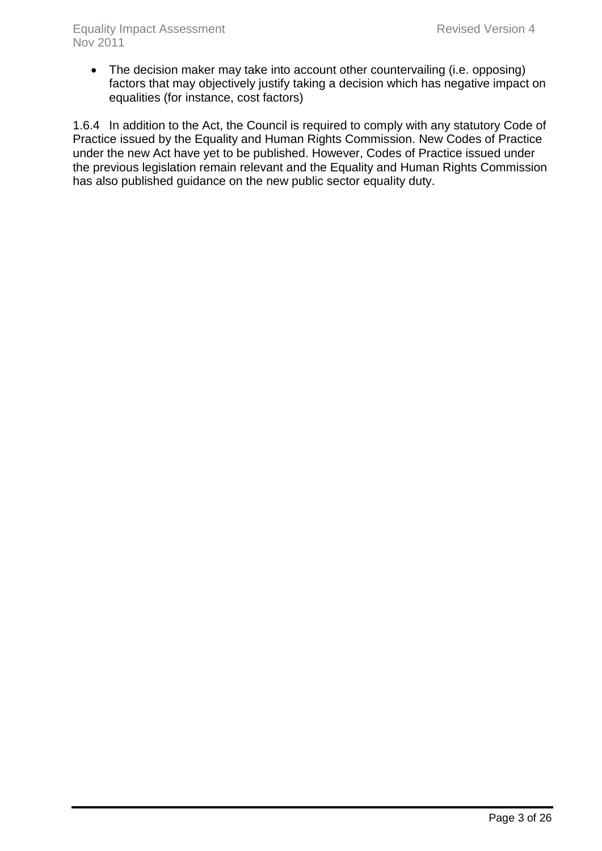• The decision maker may take into account other countervailing (i.e. opposing) factors that may objectively justify taking a decision which has negative impact on equalities (for instance, cost factors)

1.6.4 In addition to the Act, the Council is required to comply with any statutory Code of Practice issued by the Equality and Human Rights Commission. New Codes of Practice under the new Act have yet to be published. However, Codes of Practice issued under the previous legislation remain relevant and the Equality and Human Rights Commission has also published guidance on the new public sector equality duty.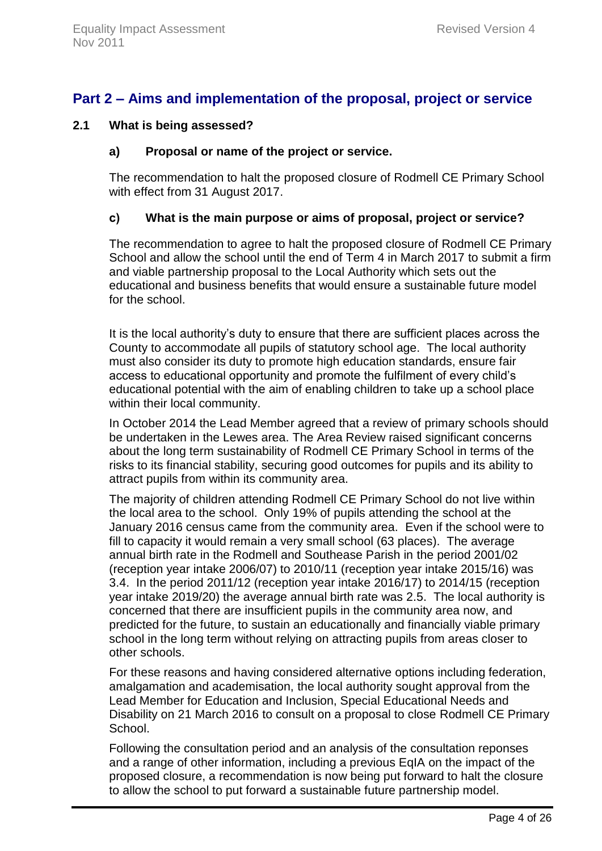# <span id="page-4-0"></span>**Part 2 – Aims and implementation of the proposal, project or service**

#### **2.1 What is being assessed?**

#### **a) Proposal or name of the project or service.**

The recommendation to halt the proposed closure of Rodmell CE Primary School with effect from 31 August 2017.

#### **c) What is the main purpose or aims of proposal, project or service?**

The recommendation to agree to halt the proposed closure of Rodmell CE Primary School and allow the school until the end of Term 4 in March 2017 to submit a firm and viable partnership proposal to the Local Authority which sets out the educational and business benefits that would ensure a sustainable future model for the school.

It is the local authority's duty to ensure that there are sufficient places across the County to accommodate all pupils of statutory school age. The local authority must also consider its duty to promote high education standards, ensure fair access to educational opportunity and promote the fulfilment of every child's educational potential with the aim of enabling children to take up a school place within their local community.

In October 2014 the Lead Member agreed that a review of primary schools should be undertaken in the Lewes area. The Area Review raised significant concerns about the long term sustainability of Rodmell CE Primary School in terms of the risks to its financial stability, securing good outcomes for pupils and its ability to attract pupils from within its community area.

The majority of children attending Rodmell CE Primary School do not live within the local area to the school. Only 19% of pupils attending the school at the January 2016 census came from the community area. Even if the school were to fill to capacity it would remain a very small school (63 places). The average annual birth rate in the Rodmell and Southease Parish in the period 2001/02 (reception year intake 2006/07) to 2010/11 (reception year intake 2015/16) was 3.4. In the period 2011/12 (reception year intake 2016/17) to 2014/15 (reception year intake 2019/20) the average annual birth rate was 2.5. The local authority is concerned that there are insufficient pupils in the community area now, and predicted for the future, to sustain an educationally and financially viable primary school in the long term without relying on attracting pupils from areas closer to other schools.

For these reasons and having considered alternative options including federation, amalgamation and academisation, the local authority sought approval from the Lead Member for Education and Inclusion, Special Educational Needs and Disability on 21 March 2016 to consult on a proposal to close Rodmell CE Primary School.

Following the consultation period and an analysis of the consultation reponses and a range of other information, including a previous EqIA on the impact of the proposed closure, a recommendation is now being put forward to halt the closure to allow the school to put forward a sustainable future partnership model.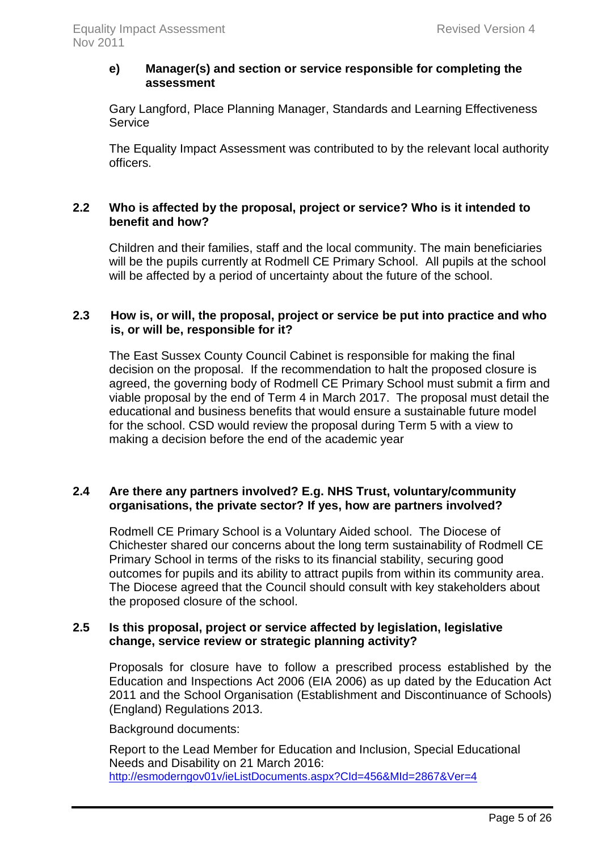#### **e) Manager(s) and section or service responsible for completing the assessment**

Gary Langford, Place Planning Manager, Standards and Learning Effectiveness **Service** 

The Equality Impact Assessment was contributed to by the relevant local authority officers.

#### **2.2 Who is affected by the proposal, project or service? Who is it intended to benefit and how?**

Children and their families, staff and the local community. The main beneficiaries will be the pupils currently at Rodmell CE Primary School. All pupils at the school will be affected by a period of uncertainty about the future of the school.

#### **2.3 How is, or will, the proposal, project or service be put into practice and who is, or will be, responsible for it?**

The East Sussex County Council Cabinet is responsible for making the final decision on the proposal. If the recommendation to halt the proposed closure is agreed, the governing body of Rodmell CE Primary School must submit a firm and viable proposal by the end of Term 4 in March 2017. The proposal must detail the educational and business benefits that would ensure a sustainable future model for the school. CSD would review the proposal during Term 5 with a view to making a decision before the end of the academic year

### **2.4 Are there any partners involved? E.g. NHS Trust, voluntary/community organisations, the private sector? If yes, how are partners involved?**

Rodmell CE Primary School is a Voluntary Aided school. The Diocese of Chichester shared our concerns about the long term sustainability of Rodmell CE Primary School in terms of the risks to its financial stability, securing good outcomes for pupils and its ability to attract pupils from within its community area. The Diocese agreed that the Council should consult with key stakeholders about the proposed closure of the school.

### **2.5 Is this proposal, project or service affected by legislation, legislative change, service review or strategic planning activity?**

Proposals for closure have to follow a prescribed process established by the Education and Inspections Act 2006 (EIA 2006) as up dated by the Education Act 2011 and the School Organisation (Establishment and Discontinuance of Schools) (England) Regulations 2013.

Background documents:

Report to the Lead Member for Education and Inclusion, Special Educational Needs and Disability on 21 March 2016: <http://esmoderngov01v/ieListDocuments.aspx?CId=456&MId=2867&Ver=4>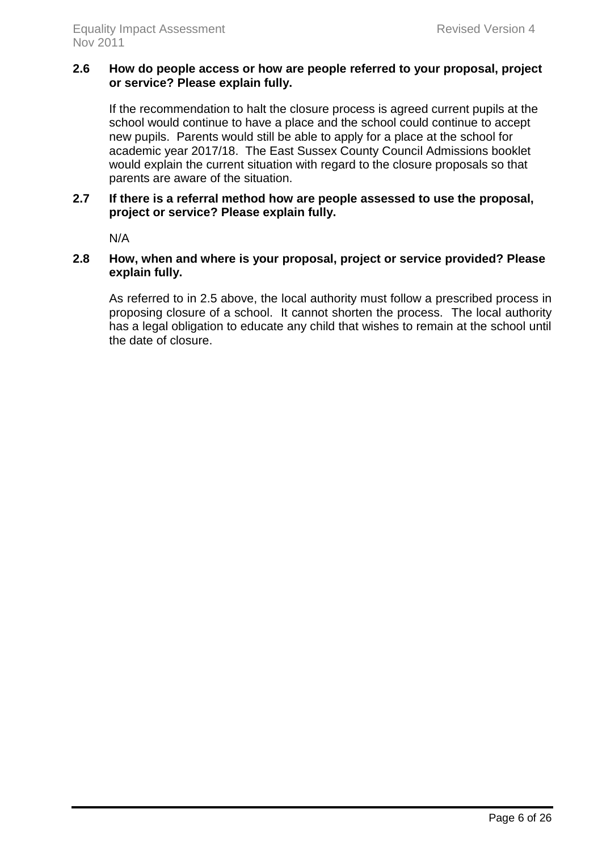#### **2.6 How do people access or how are people referred to your proposal, project or service? Please explain fully.**

If the recommendation to halt the closure process is agreed current pupils at the school would continue to have a place and the school could continue to accept new pupils. Parents would still be able to apply for a place at the school for academic year 2017/18. The East Sussex County Council Admissions booklet would explain the current situation with regard to the closure proposals so that parents are aware of the situation.

#### **2.7 If there is a referral method how are people assessed to use the proposal, project or service? Please explain fully.**

N/A

#### **2.8 How, when and where is your proposal, project or service provided? Please explain fully.**

As referred to in 2.5 above, the local authority must follow a prescribed process in proposing closure of a school. It cannot shorten the process. The local authority has a legal obligation to educate any child that wishes to remain at the school until the date of closure.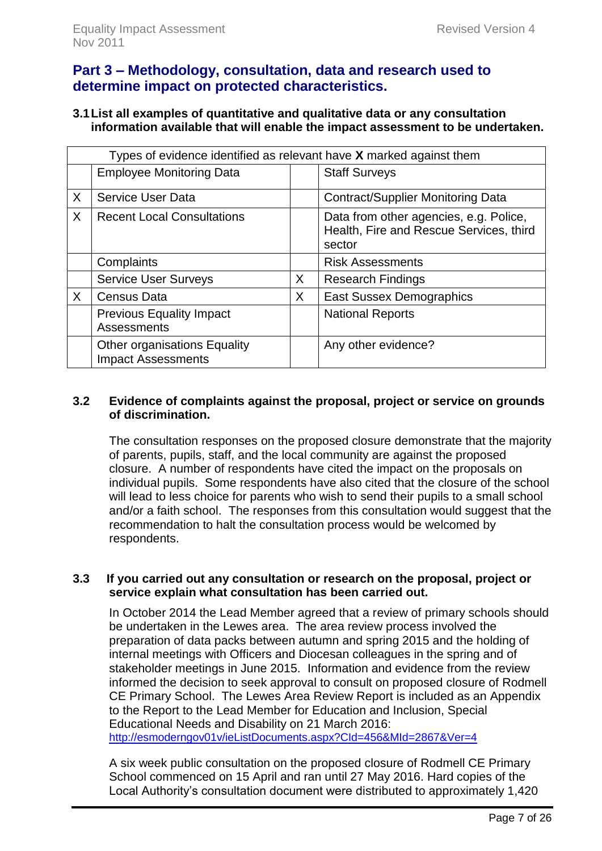# <span id="page-7-0"></span>**Part 3 – Methodology, consultation, data and research used to determine impact on protected characteristics.**

#### **3.1List all examples of quantitative and qualitative data or any consultation information available that will enable the impact assessment to be undertaken.**

|   | Types of evidence identified as relevant have X marked against them |   |                                                                                             |  |  |  |  |  |
|---|---------------------------------------------------------------------|---|---------------------------------------------------------------------------------------------|--|--|--|--|--|
|   | <b>Employee Monitoring Data</b>                                     |   | <b>Staff Surveys</b>                                                                        |  |  |  |  |  |
| X | <b>Service User Data</b>                                            |   | <b>Contract/Supplier Monitoring Data</b>                                                    |  |  |  |  |  |
| X | <b>Recent Local Consultations</b>                                   |   | Data from other agencies, e.g. Police,<br>Health, Fire and Rescue Services, third<br>sector |  |  |  |  |  |
|   | Complaints                                                          |   | <b>Risk Assessments</b>                                                                     |  |  |  |  |  |
|   | <b>Service User Surveys</b>                                         | X | <b>Research Findings</b>                                                                    |  |  |  |  |  |
| X | <b>Census Data</b>                                                  | X | <b>East Sussex Demographics</b>                                                             |  |  |  |  |  |
|   | <b>Previous Equality Impact</b><br><b>Assessments</b>               |   | <b>National Reports</b>                                                                     |  |  |  |  |  |
|   | Other organisations Equality<br><b>Impact Assessments</b>           |   | Any other evidence?                                                                         |  |  |  |  |  |

#### **3.2 Evidence of complaints against the proposal, project or service on grounds of discrimination.**

The consultation responses on the proposed closure demonstrate that the majority of parents, pupils, staff, and the local community are against the proposed closure. A number of respondents have cited the impact on the proposals on individual pupils. Some respondents have also cited that the closure of the school will lead to less choice for parents who wish to send their pupils to a small school and/or a faith school. The responses from this consultation would suggest that the recommendation to halt the consultation process would be welcomed by respondents.

#### **3.3 If you carried out any consultation or research on the proposal, project or service explain what consultation has been carried out.**

In October 2014 the Lead Member agreed that a review of primary schools should be undertaken in the Lewes area. The area review process involved the preparation of data packs between autumn and spring 2015 and the holding of internal meetings with Officers and Diocesan colleagues in the spring and of stakeholder meetings in June 2015. Information and evidence from the review informed the decision to seek approval to consult on proposed closure of Rodmell CE Primary School. The Lewes Area Review Report is included as an Appendix to the Report to the Lead Member for Education and Inclusion, Special Educational Needs and Disability on 21 March 2016: <http://esmoderngov01v/ieListDocuments.aspx?CId=456&MId=2867&Ver=4>

A six week public consultation on the proposed closure of Rodmell CE Primary School commenced on 15 April and ran until 27 May 2016. Hard copies of the Local Authority's consultation document were distributed to approximately 1,420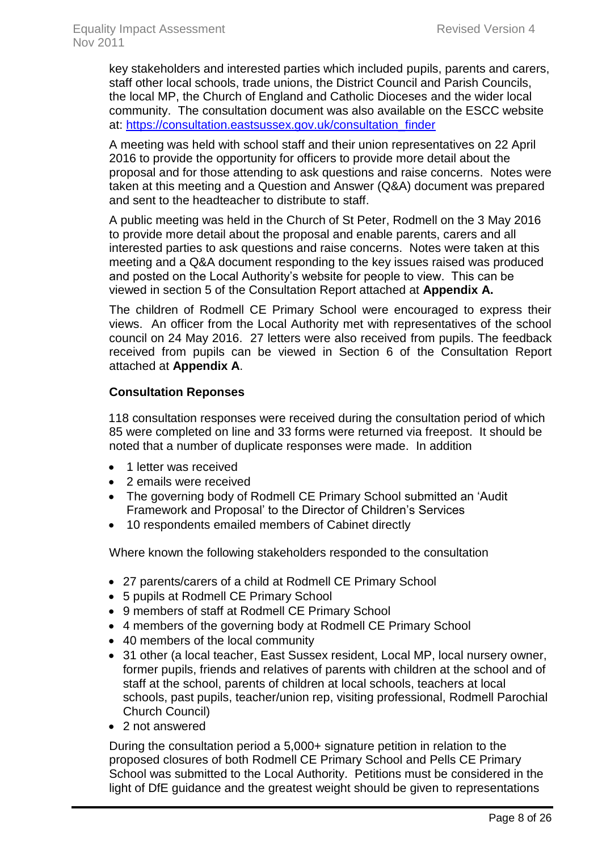key stakeholders and interested parties which included pupils, parents and carers, staff other local schools, trade unions, the District Council and Parish Councils, the local MP, the Church of England and Catholic Dioceses and the wider local community. The consultation document was also available on the ESCC website at: [https://consultation.eastsussex.gov.uk/consultation\\_finder](https://consultation.eastsussex.gov.uk/consultation_finder)

A meeting was held with school staff and their union representatives on 22 April 2016 to provide the opportunity for officers to provide more detail about the proposal and for those attending to ask questions and raise concerns. Notes were taken at this meeting and a Question and Answer (Q&A) document was prepared and sent to the headteacher to distribute to staff.

A public meeting was held in the Church of St Peter, Rodmell on the 3 May 2016 to provide more detail about the proposal and enable parents, carers and all interested parties to ask questions and raise concerns. Notes were taken at this meeting and a Q&A document responding to the key issues raised was produced and posted on the Local Authority's website for people to view. This can be viewed in section 5 of the Consultation Report attached at **Appendix A.**

The children of Rodmell CE Primary School were encouraged to express their views. An officer from the Local Authority met with representatives of the school council on 24 May 2016. 27 letters were also received from pupils. The feedback received from pupils can be viewed in Section 6 of the Consultation Report attached at **Appendix A**.

#### **Consultation Reponses**

118 consultation responses were received during the consultation period of which 85 were completed on line and 33 forms were returned via freepost. It should be noted that a number of duplicate responses were made. In addition

- 1 letter was received
- 2 emails were received
- The governing body of Rodmell CE Primary School submitted an 'Audit Framework and Proposal' to the Director of Children's Services
- 10 respondents emailed members of Cabinet directly

Where known the following stakeholders responded to the consultation

- 27 parents/carers of a child at Rodmell CE Primary School
- 5 pupils at Rodmell CE Primary School
- 9 members of staff at Rodmell CE Primary School
- 4 members of the governing body at Rodmell CE Primary School
- 40 members of the local community
- 31 other (a local teacher, East Sussex resident, Local MP, local nursery owner, former pupils, friends and relatives of parents with children at the school and of staff at the school, parents of children at local schools, teachers at local schools, past pupils, teacher/union rep, visiting professional, Rodmell Parochial Church Council)
- 2 not answered

During the consultation period a 5,000+ signature petition in relation to the proposed closures of both Rodmell CE Primary School and Pells CE Primary School was submitted to the Local Authority. Petitions must be considered in the light of DfE guidance and the greatest weight should be given to representations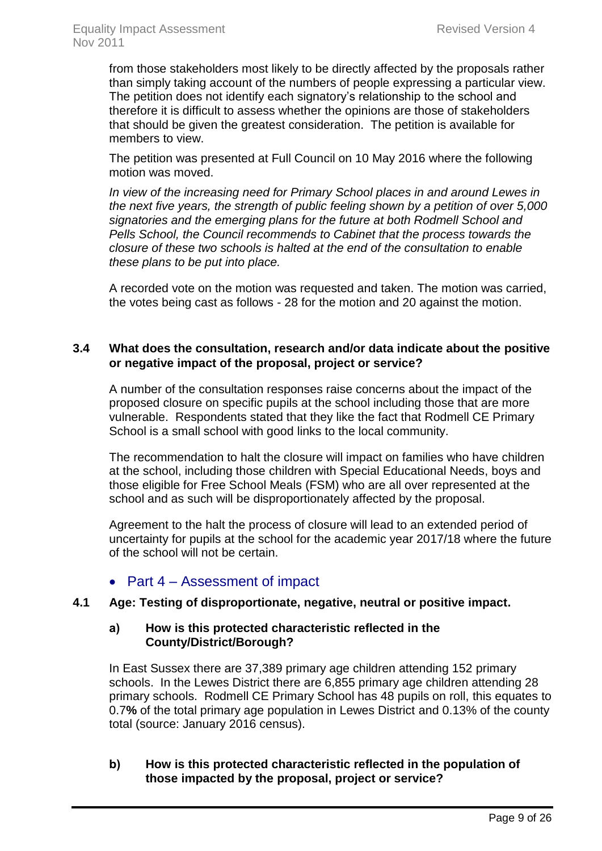from those stakeholders most likely to be directly affected by the proposals rather than simply taking account of the numbers of people expressing a particular view. The petition does not identify each signatory's relationship to the school and therefore it is difficult to assess whether the opinions are those of stakeholders that should be given the greatest consideration. The petition is available for members to view.

The petition was presented at Full Council on 10 May 2016 where the following motion was moved.

*In view of the increasing need for Primary School places in and around Lewes in the next five years, the strength of public feeling shown by a petition of over 5,000 signatories and the emerging plans for the future at both Rodmell School and Pells School, the Council recommends to Cabinet that the process towards the closure of these two schools is halted at the end of the consultation to enable these plans to be put into place.*

A recorded vote on the motion was requested and taken. The motion was carried, the votes being cast as follows - 28 for the motion and 20 against the motion.

### **3.4 What does the consultation, research and/or data indicate about the positive or negative impact of the proposal, project or service?**

<span id="page-9-0"></span>A number of the consultation responses raise concerns about the impact of the proposed closure on specific pupils at the school including those that are more vulnerable. Respondents stated that they like the fact that Rodmell CE Primary School is a small school with good links to the local community.

The recommendation to halt the closure will impact on families who have children at the school, including those children with Special Educational Needs, boys and those eligible for Free School Meals (FSM) who are all over represented at the school and as such will be disproportionately affected by the proposal.

Agreement to the halt the process of closure will lead to an extended period of uncertainty for pupils at the school for the academic year 2017/18 where the future of the school will not be certain.

# • Part 4 – Assessment of impact

#### **4.1 Age: Testing of disproportionate, negative, neutral or positive impact.**

#### **a) How is this protected characteristic reflected in the County/District/Borough?**

In East Sussex there are 37,389 primary age children attending 152 primary schools. In the Lewes District there are 6,855 primary age children attending 28 primary schools. Rodmell CE Primary School has 48 pupils on roll, this equates to 0.7**%** of the total primary age population in Lewes District and 0.13% of the county total (source: January 2016 census).

#### **b) How is this protected characteristic reflected in the population of those impacted by the proposal, project or service?**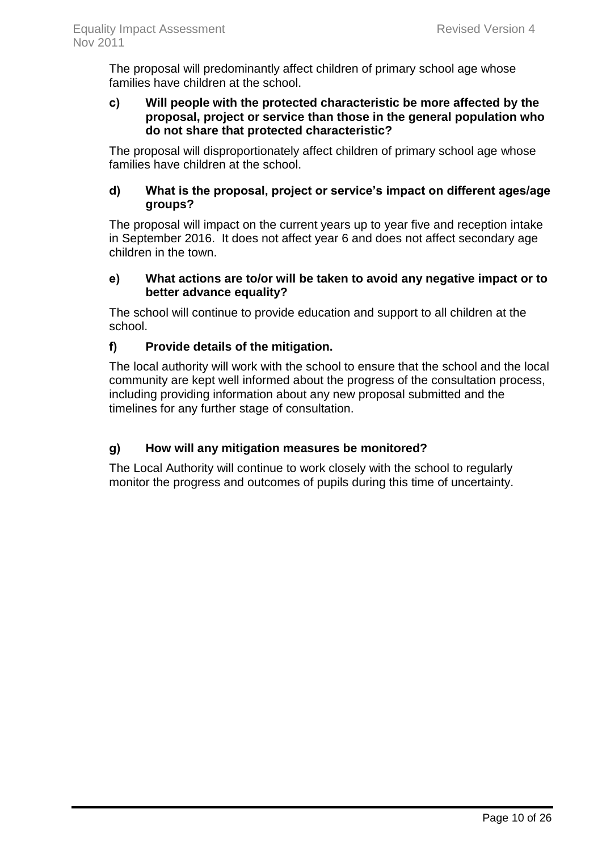The proposal will predominantly affect children of primary school age whose families have children at the school.

#### **c) Will people with the protected characteristic be more affected by the proposal, project or service than those in the general population who do not share that protected characteristic?**

The proposal will disproportionately affect children of primary school age whose families have children at the school.

#### **d) What is the proposal, project or service's impact on different ages/age groups?**

The proposal will impact on the current years up to year five and reception intake in September 2016. It does not affect year 6 and does not affect secondary age children in the town.

### **e) What actions are to/or will be taken to avoid any negative impact or to better advance equality?**

The school will continue to provide education and support to all children at the school.

# **f) Provide details of the mitigation.**

The local authority will work with the school to ensure that the school and the local community are kept well informed about the progress of the consultation process, including providing information about any new proposal submitted and the timelines for any further stage of consultation.

# **g) How will any mitigation measures be monitored?**

The Local Authority will continue to work closely with the school to regularly monitor the progress and outcomes of pupils during this time of uncertainty.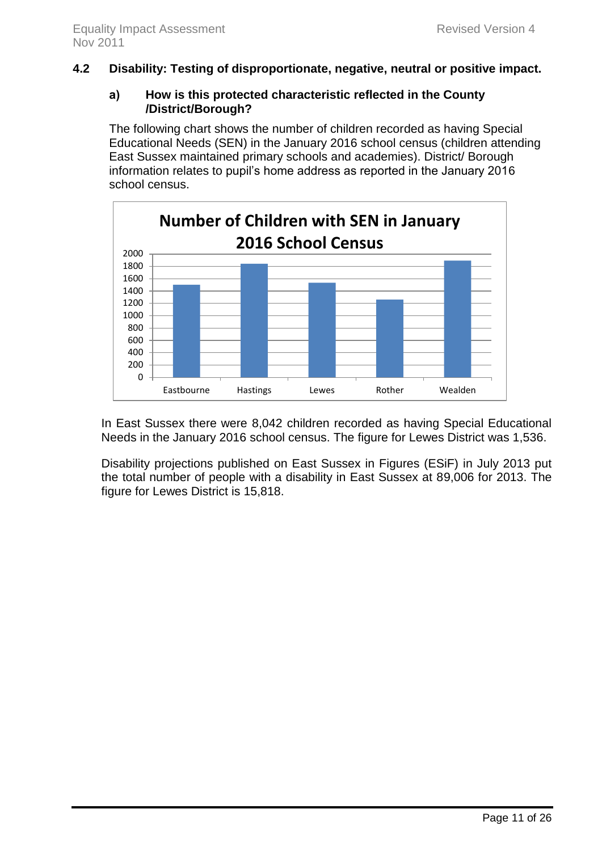#### **4.2 Disability: Testing of disproportionate, negative, neutral or positive impact.**

#### **a) How is this protected characteristic reflected in the County /District/Borough?**

The following chart shows the number of children recorded as having Special Educational Needs (SEN) in the January 2016 school census (children attending East Sussex maintained primary schools and academies). District/ Borough information relates to pupil's home address as reported in the January 2016 school census.



In East Sussex there were 8,042 children recorded as having Special Educational Needs in the January 2016 school census. The figure for Lewes District was 1,536.

Disability projections published on East Sussex in Figures (ESiF) in July 2013 put the total number of people with a disability in East Sussex at 89,006 for 2013. The figure for Lewes District is 15,818.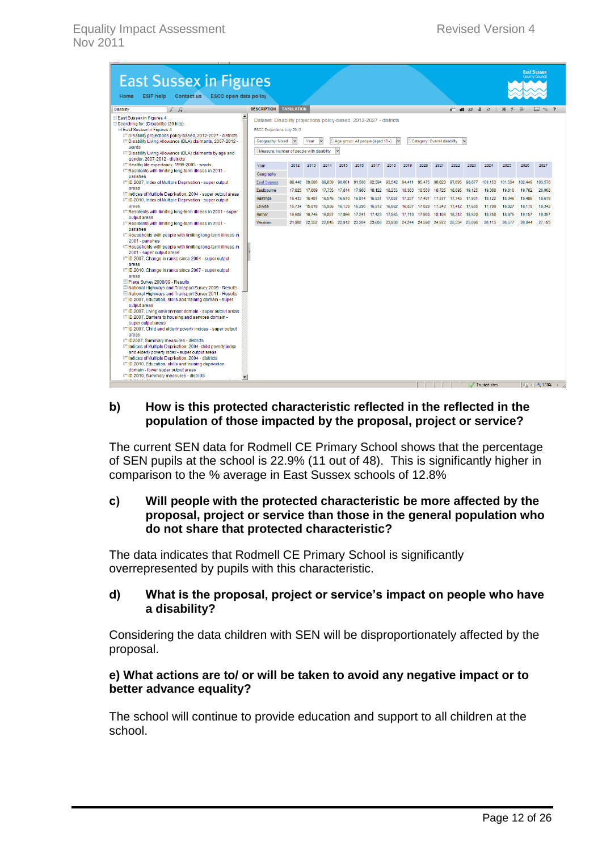| <b>East Sussex in Figures</b><br><b>ESiF help</b><br>Contact us ESCC open data policy<br>Home                                                                               |                                                                                         |                   |                                                                                     |        |                                  |        |               |               |                                                                       |        |                              |                             |                                                                  |        |                 |         | <b>East Sussex</b><br><b>County Council</b> |
|-----------------------------------------------------------------------------------------------------------------------------------------------------------------------------|-----------------------------------------------------------------------------------------|-------------------|-------------------------------------------------------------------------------------|--------|----------------------------------|--------|---------------|---------------|-----------------------------------------------------------------------|--------|------------------------------|-----------------------------|------------------------------------------------------------------|--------|-----------------|---------|---------------------------------------------|
| F R<br><b>Disability</b>                                                                                                                                                    | <b>DESCRIPTION</b>                                                                      | <b>TABULATION</b> |                                                                                     |        |                                  |        |               |               |                                                                       |        |                              |                             | $\blacksquare$ $\blacksquare$ $\bowtie$ $\blacksquare$ $\bowtie$ |        | 国内吕             |         | $\bowtie$ 32 2                              |
| E East Sussex in Figures 4                                                                                                                                                  | $\blacktriangle$<br>Dataset: Disability projections policy-based, 2012-2027 - districts |                   |                                                                                     |        |                                  |        |               |               |                                                                       |        |                              |                             |                                                                  |        |                 |         |                                             |
| Searching for: (Disability) (39 hits)<br><b>□ East Sussex in Figures 4</b>                                                                                                  | ESCC Projections July 2013                                                              |                   |                                                                                     |        |                                  |        |               |               |                                                                       |        |                              |                             |                                                                  |        |                 |         |                                             |
| Ell Disability projections policy-based, 2012-2027 - districts<br>EE Disability Living Allowance (DLA) claimants, 2007-2012 -                                               | Geography: Mixed                                                                        |                   | Year                                                                                |        | Age group: All people (aged 10+) |        |               |               |                                                                       |        | Category: Overall disability |                             |                                                                  |        |                 |         |                                             |
| wards<br>Ell Disability Living Allowance (DLA) claimants by age and                                                                                                         | Measure: Number of people with disability                                               |                   |                                                                                     |        |                                  |        |               |               |                                                                       |        |                              |                             |                                                                  |        |                 |         |                                             |
| gender, 2007-2012 - districts                                                                                                                                               |                                                                                         |                   |                                                                                     |        |                                  |        |               |               |                                                                       |        |                              |                             |                                                                  |        |                 |         |                                             |
| E Healthy life expectancy, 1999-2003 - wards<br>EE Residents with limiting long-term illness in 2011 -                                                                      | Year<br>Geography                                                                       | 2012              | 2013                                                                                | 2014   | 2015                             | 2016   | 2017          | 2018          | 2019                                                                  | 2020   | 2021                         | 2022                        | 2023                                                             | 2024   | 2025            | 2026    | 2027                                        |
| parishes<br>E ID 2007, Index of Multiple Deprivation - super output                                                                                                         | <b>East Sussex</b>                                                                      |                   | 88.448 89.006                                                                       |        |                                  |        |               |               | 89,809 90,601 91,568 92,594 93,542 94,411 95,475 96,623 97,695 98,877 |        |                              |                             |                                                                  |        | 100.153 101.534 | 102.449 | 103,578                                     |
| areas                                                                                                                                                                       | Eastbourne                                                                              | 17,625            | 17,609                                                                              |        | 17,735 17,814 17,960             |        | 18,122        | 18,253        | 18.383                                                                | 18,550 | 18,725                       | 18,895                      | 19.125                                                           | 19,368 | 19,610          | 19.782  | 20,008                                      |
| Ellindices of Multiple Deprivation, 2004 - super output areas<br>EE ID 2010, Index of Multiple Deprivation - super output                                                   | <b>Hastings</b>                                                                         | 16,433            | 16.481                                                                              | 16.576 | 16,670                           | 16.814 | 16.931        | 17.087        | 17,237                                                                |        |                              | 17,401 17,577 17,743        | 17,931                                                           | 18,122 | 18.346          | 18,486  | 18.679                                      |
| areas                                                                                                                                                                       | Lewes                                                                                   | 15,734            | 15,818                                                                              | 15,956 | 16,139                           | 16,290 |               | 16.512 16.682 | 16,837                                                                |        |                              | 17,029 17,243 17,412 17,605 |                                                                  | 17,799 | 18,027          | 18,179  | 18.342                                      |
| ET Residents with limiting long-term illness in 2001 - super                                                                                                                | Rother                                                                                  | 16,688            | 16,746                                                                              |        | 16.897 17.066 17.241             |        | 17,423 17,583 |               | 17,710                                                                | 17,900 |                              | 18.106 18.312 18.520        |                                                                  | 18.750 | 18.975          | 19.157  | 19.357                                      |
| output areas<br>E Residents with limiting long-term illness in 2001 -<br>parishes                                                                                           | Wealden                                                                                 |                   | 21,968 22,352 22,645 22,912 23,264 23,606 23,936 24,244 24,596 24,972 25,334 25,696 |        |                                  |        |               |               |                                                                       |        |                              |                             |                                                                  | 26,113 | 26,577          | 26,844  | 27,193                                      |
| E Households with people with limiting long-term illness in<br>2001 - parishes                                                                                              |                                                                                         |                   |                                                                                     |        |                                  |        |               |               |                                                                       |        |                              |                             |                                                                  |        |                 |         |                                             |
| E Households with people with limiting long-term illness in                                                                                                                 |                                                                                         |                   |                                                                                     |        |                                  |        |               |               |                                                                       |        |                              |                             |                                                                  |        |                 |         |                                             |
| 2001 - super output areas<br>EE ID 2007, Change in ranks since 2004 - super output                                                                                          |                                                                                         |                   |                                                                                     |        |                                  |        |               |               |                                                                       |        |                              |                             |                                                                  |        |                 |         |                                             |
| areas                                                                                                                                                                       |                                                                                         |                   |                                                                                     |        |                                  |        |               |               |                                                                       |        |                              |                             |                                                                  |        |                 |         |                                             |
| ETID 2010, Change in ranks since 2007 - super output<br>areas                                                                                                               |                                                                                         |                   |                                                                                     |        |                                  |        |               |               |                                                                       |        |                              |                             |                                                                  |        |                 |         |                                             |
| Place Survey 2008/09 - Results                                                                                                                                              |                                                                                         |                   |                                                                                     |        |                                  |        |               |               |                                                                       |        |                              |                             |                                                                  |        |                 |         |                                             |
| National Highways and Transport Survey 2009 - Results<br>Mational Highways and Transport Survey 2011 - Results<br>EE ID 2007, Education, skills and training domain - super |                                                                                         |                   |                                                                                     |        |                                  |        |               |               |                                                                       |        |                              |                             |                                                                  |        |                 |         |                                             |
| output areas                                                                                                                                                                |                                                                                         |                   |                                                                                     |        |                                  |        |               |               |                                                                       |        |                              |                             |                                                                  |        |                 |         |                                             |
| EE ID 2007, Living environment domain - super output areas<br>EE ID 2007, Barriers to housing and services domain -                                                         |                                                                                         |                   |                                                                                     |        |                                  |        |               |               |                                                                       |        |                              |                             |                                                                  |        |                 |         |                                             |
| super output areas<br>ET ID 2007, Child and elderly poverty indices - super output                                                                                          |                                                                                         |                   |                                                                                     |        |                                  |        |               |               |                                                                       |        |                              |                             |                                                                  |        |                 |         |                                             |
| areas<br>E ID2007. Summary measures - districts                                                                                                                             |                                                                                         |                   |                                                                                     |        |                                  |        |               |               |                                                                       |        |                              |                             |                                                                  |        |                 |         |                                             |
| EE Indices of Multiple Deprivation, 2004, child poverty index                                                                                                               |                                                                                         |                   |                                                                                     |        |                                  |        |               |               |                                                                       |        |                              |                             |                                                                  |        |                 |         |                                             |
| and elderly poverty index - super output areas                                                                                                                              |                                                                                         |                   |                                                                                     |        |                                  |        |               |               |                                                                       |        |                              |                             |                                                                  |        |                 |         |                                             |
| E Indices of Multiple Deprivation, 2004 - districts<br>EE ID 2010, Education, skills and training deprivation                                                               |                                                                                         |                   |                                                                                     |        |                                  |        |               |               |                                                                       |        |                              |                             |                                                                  |        |                 |         |                                             |
| domain - lower super output areas                                                                                                                                           |                                                                                         |                   |                                                                                     |        |                                  |        |               |               |                                                                       |        |                              |                             |                                                                  |        |                 |         |                                             |
| E ID 2010, Summary measures - districts                                                                                                                                     | ▾                                                                                       |                   |                                                                                     |        |                                  |        |               |               |                                                                       |        |                              |                             |                                                                  |        |                 |         |                                             |

#### **b) How is this protected characteristic reflected in the reflected in the population of those impacted by the proposal, project or service?**

The current SEN data for Rodmell CE Primary School shows that the percentage of SEN pupils at the school is 22.9% (11 out of 48). This is significantly higher in comparison to the % average in East Sussex schools of 12.8%

#### **c) Will people with the protected characteristic be more affected by the proposal, project or service than those in the general population who do not share that protected characteristic?**

The data indicates that Rodmell CE Primary School is significantly overrepresented by pupils with this characteristic.

#### **d) What is the proposal, project or service's impact on people who have a disability?**

Considering the data children with SEN will be disproportionately affected by the proposal.

#### **e) What actions are to/ or will be taken to avoid any negative impact or to better advance equality?**

The school will continue to provide education and support to all children at the school.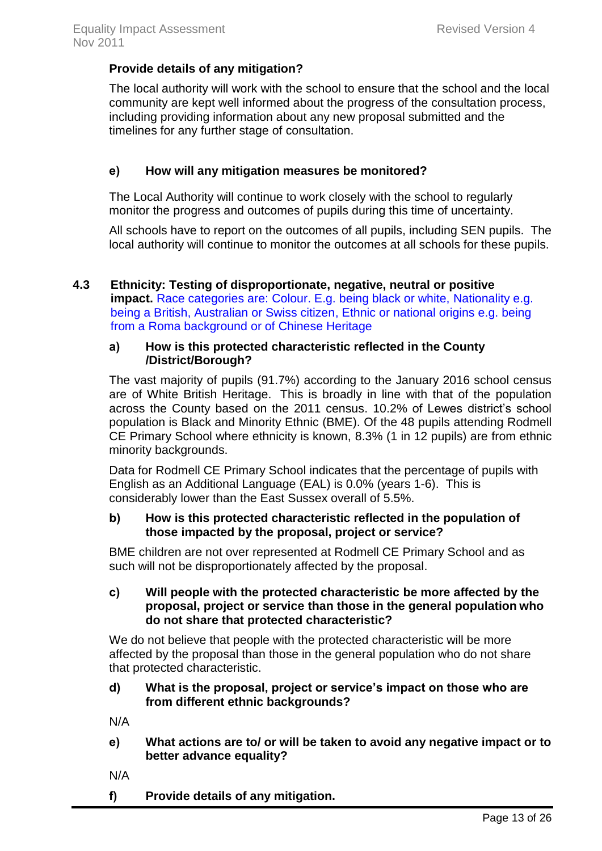#### **Provide details of any mitigation?**

The local authority will work with the school to ensure that the school and the local community are kept well informed about the progress of the consultation process, including providing information about any new proposal submitted and the timelines for any further stage of consultation.

#### **e) How will any mitigation measures be monitored?**

The Local Authority will continue to work closely with the school to regularly monitor the progress and outcomes of pupils during this time of uncertainty.

All schools have to report on the outcomes of all pupils, including SEN pupils. The local authority will continue to monitor the outcomes at all schools for these pupils.

#### **4.3 Ethnicity: Testing of disproportionate, negative, neutral or positive impact.** Race categories are: Colour. E.g. being black or white, Nationality e.g. being a British, Australian or Swiss citizen, Ethnic or national origins e.g. being from a Roma background or of Chinese Heritage

#### **a) How is this protected characteristic reflected in the County /District/Borough?**

The vast majority of pupils (91.7%) according to the January 2016 school census are of White British Heritage. This is broadly in line with that of the population across the County based on the 2011 census. 10.2% of Lewes district's school population is Black and Minority Ethnic (BME). Of the 48 pupils attending Rodmell CE Primary School where ethnicity is known, 8.3% (1 in 12 pupils) are from ethnic minority backgrounds.

Data for Rodmell CE Primary School indicates that the percentage of pupils with English as an Additional Language (EAL) is 0.0% (years 1-6). This is considerably lower than the East Sussex overall of 5.5%.

#### **b) How is this protected characteristic reflected in the population of those impacted by the proposal, project or service?**

BME children are not over represented at Rodmell CE Primary School and as such will not be disproportionately affected by the proposal.

#### **c) Will people with the protected characteristic be more affected by the proposal, project or service than those in the general population who do not share that protected characteristic?**

We do not believe that people with the protected characteristic will be more affected by the proposal than those in the general population who do not share that protected characteristic.

#### **d) What is the proposal, project or service's impact on those who are from different ethnic backgrounds?**

N/A

- **e) What actions are to/ or will be taken to avoid any negative impact or to better advance equality?**
- N/A
- **f) Provide details of any mitigation.**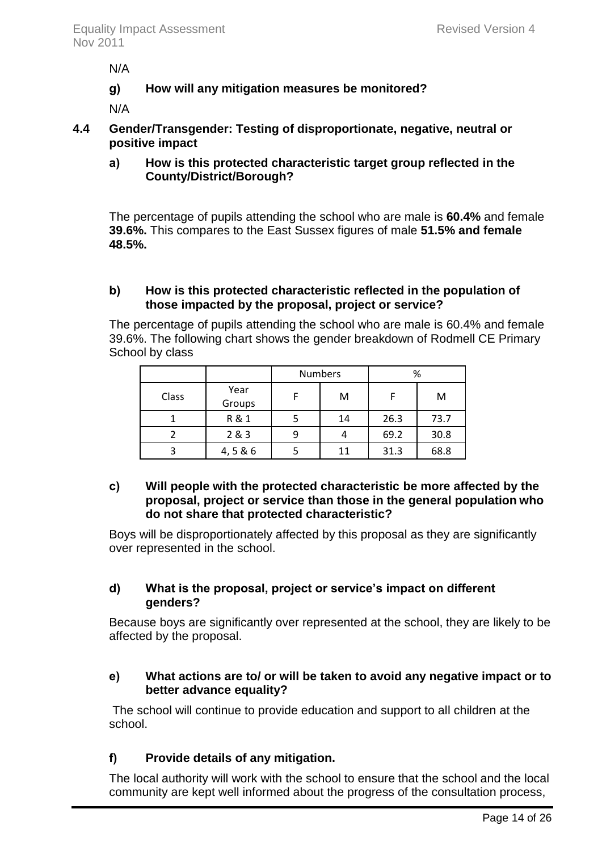N/A

**g) How will any mitigation measures be monitored?**

N/A

- **4.4 Gender/Transgender: Testing of disproportionate, negative, neutral or positive impact**
	- **a) How is this protected characteristic target group reflected in the County/District/Borough?**

The percentage of pupils attending the school who are male is **60.4%** and female **39.6%.** This compares to the East Sussex figures of male **51.5% and female 48.5%.**

### **b) How is this protected characteristic reflected in the population of those impacted by the proposal, project or service?**

The percentage of pupils attending the school who are male is 60.4% and female 39.6%. The following chart shows the gender breakdown of Rodmell CE Primary School by class

|       |                | <b>Numbers</b> | %    |      |  |
|-------|----------------|----------------|------|------|--|
| Class | Year<br>Groups | M              |      | M    |  |
|       | R & 1          | 14             | 26.3 | 73.7 |  |
|       | 2 & 3          |                | 69.2 | 30.8 |  |
|       | 4,5 & 6        | 11             | 31.3 | 68.8 |  |

#### **c) Will people with the protected characteristic be more affected by the proposal, project or service than those in the general population who do not share that protected characteristic?**

Boys will be disproportionately affected by this proposal as they are significantly over represented in the school.

### **d) What is the proposal, project or service's impact on different genders?**

Because boys are significantly over represented at the school, they are likely to be affected by the proposal.

#### **e) What actions are to/ or will be taken to avoid any negative impact or to better advance equality?**

The school will continue to provide education and support to all children at the school.

# **f) Provide details of any mitigation.**

The local authority will work with the school to ensure that the school and the local community are kept well informed about the progress of the consultation process,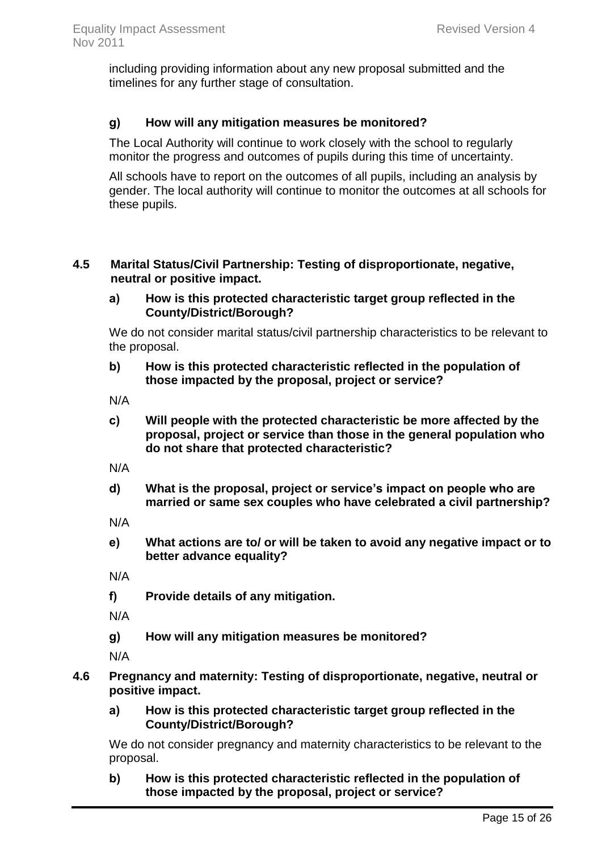including providing information about any new proposal submitted and the timelines for any further stage of consultation.

### **g) How will any mitigation measures be monitored?**

The Local Authority will continue to work closely with the school to regularly monitor the progress and outcomes of pupils during this time of uncertainty.

All schools have to report on the outcomes of all pupils, including an analysis by gender. The local authority will continue to monitor the outcomes at all schools for these pupils.

#### **4.5 Marital Status/Civil Partnership: Testing of disproportionate, negative, neutral or positive impact.**

**a) How is this protected characteristic target group reflected in the County/District/Borough?**

We do not consider marital status/civil partnership characteristics to be relevant to the proposal.

**b) How is this protected characteristic reflected in the population of those impacted by the proposal, project or service?**

N/A

**c) Will people with the protected characteristic be more affected by the proposal, project or service than those in the general population who do not share that protected characteristic?** 

N/A

**d) What is the proposal, project or service's impact on people who are married or same sex couples who have celebrated a civil partnership?** 

N/A

**e) What actions are to/ or will be taken to avoid any negative impact or to better advance equality?** 

N/A

**f) Provide details of any mitigation.**

N/A

**g) How will any mitigation measures be monitored?**

N/A

- **4.6 Pregnancy and maternity: Testing of disproportionate, negative, neutral or positive impact.** 
	- **a) How is this protected characteristic target group reflected in the County/District/Borough?**

We do not consider pregnancy and maternity characteristics to be relevant to the proposal.

**b) How is this protected characteristic reflected in the population of those impacted by the proposal, project or service?**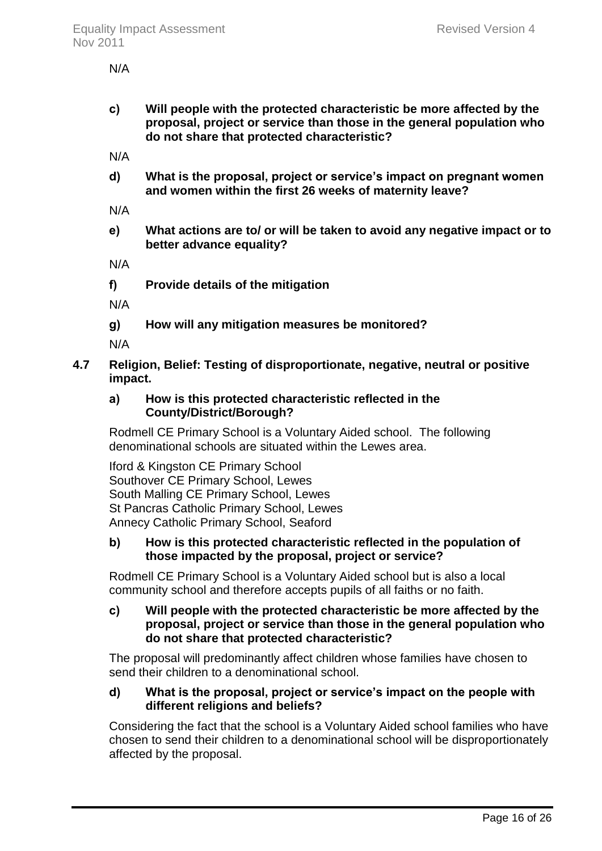N/A

**c) Will people with the protected characteristic be more affected by the proposal, project or service than those in the general population who do not share that protected characteristic?**

N/A

**d) What is the proposal, project or service's impact on pregnant women and women within the first 26 weeks of maternity leave?** 

N/A

**e) What actions are to/ or will be taken to avoid any negative impact or to better advance equality?** 

N/A

**f) Provide details of the mitigation** 

N/A

**g) How will any mitigation measures be monitored?** 

N/A

**4.7 Religion, Belief: Testing of disproportionate, negative, neutral or positive impact.**

### **a) How is this protected characteristic reflected in the County/District/Borough?**

Rodmell CE Primary School is a Voluntary Aided school. The following denominational schools are situated within the Lewes area.

Iford & Kingston CE Primary School Southover CE Primary School, Lewes South Malling CE Primary School, Lewes St Pancras Catholic Primary School, Lewes Annecy Catholic Primary School, Seaford

# **b) How is this protected characteristic reflected in the population of those impacted by the proposal, project or service?**

Rodmell CE Primary School is a Voluntary Aided school but is also a local community school and therefore accepts pupils of all faiths or no faith.

#### **c) Will people with the protected characteristic be more affected by the proposal, project or service than those in the general population who do not share that protected characteristic?**

The proposal will predominantly affect children whose families have chosen to send their children to a denominational school.

### **d) What is the proposal, project or service's impact on the people with different religions and beliefs?**

Considering the fact that the school is a Voluntary Aided school families who have chosen to send their children to a denominational school will be disproportionately affected by the proposal.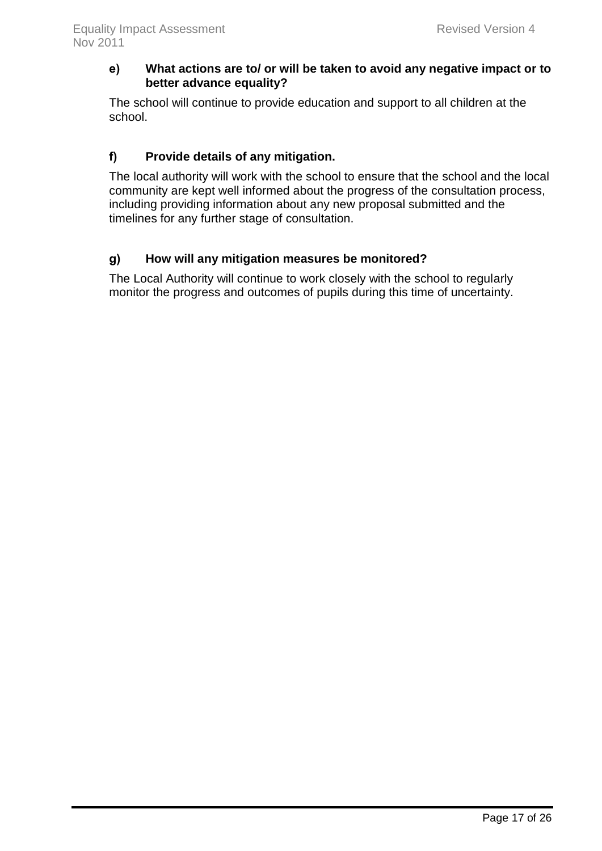#### **e) What actions are to/ or will be taken to avoid any negative impact or to better advance equality?**

The school will continue to provide education and support to all children at the school.

# **f) Provide details of any mitigation.**

The local authority will work with the school to ensure that the school and the local community are kept well informed about the progress of the consultation process, including providing information about any new proposal submitted and the timelines for any further stage of consultation.

# **g) How will any mitigation measures be monitored?**

The Local Authority will continue to work closely with the school to regularly monitor the progress and outcomes of pupils during this time of uncertainty.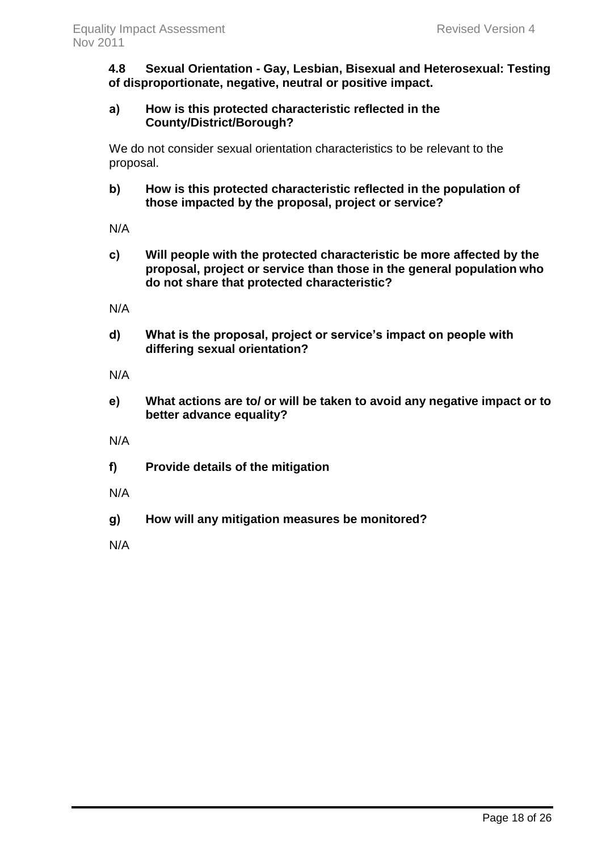**4.8 Sexual Orientation - Gay, Lesbian, Bisexual and Heterosexual: Testing of disproportionate, negative, neutral or positive impact.** 

#### **a) How is this protected characteristic reflected in the County/District/Borough?**

We do not consider sexual orientation characteristics to be relevant to the proposal.

**b) How is this protected characteristic reflected in the population of those impacted by the proposal, project or service?**

N/A

**c) Will people with the protected characteristic be more affected by the proposal, project or service than those in the general population who do not share that protected characteristic?** 

N/A

**d) What is the proposal, project or service's impact on people with differing sexual orientation?** 

N/A

- **e) What actions are to/ or will be taken to avoid any negative impact or to better advance equality?**
- N/A
- **f) Provide details of the mitigation**
- N/A
- **g) How will any mitigation measures be monitored?**

N/A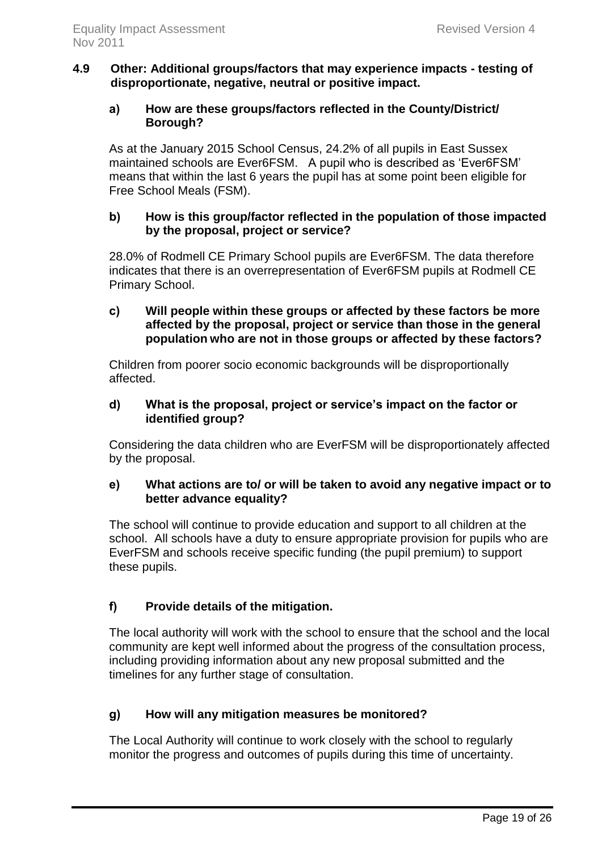#### **4.9 Other: Additional groups/factors that may experience impacts - testing of disproportionate, negative, neutral or positive impact.**

#### **a) How are these groups/factors reflected in the County/District/ Borough?**

As at the January 2015 School Census, 24.2% of all pupils in East Sussex maintained schools are Ever6FSM. A pupil who is described as 'Ever6FSM' means that within the last 6 years the pupil has at some point been eligible for Free School Meals (FSM).

#### **b) How is this group/factor reflected in the population of those impacted by the proposal, project or service?**

28.0% of Rodmell CE Primary School pupils are Ever6FSM. The data therefore indicates that there is an overrepresentation of Ever6FSM pupils at Rodmell CE Primary School.

**c) Will people within these groups or affected by these factors be more affected by the proposal, project or service than those in the general population who are not in those groups or affected by these factors?**

Children from poorer socio economic backgrounds will be disproportionally affected.

#### **d) What is the proposal, project or service's impact on the factor or identified group?**

Considering the data children who are EverFSM will be disproportionately affected by the proposal.

### **e) What actions are to/ or will be taken to avoid any negative impact or to better advance equality?**

The school will continue to provide education and support to all children at the school. All schools have a duty to ensure appropriate provision for pupils who are EverFSM and schools receive specific funding (the pupil premium) to support these pupils.

# **f) Provide details of the mitigation.**

The local authority will work with the school to ensure that the school and the local community are kept well informed about the progress of the consultation process, including providing information about any new proposal submitted and the timelines for any further stage of consultation.

# **g) How will any mitigation measures be monitored?**

The Local Authority will continue to work closely with the school to regularly monitor the progress and outcomes of pupils during this time of uncertainty.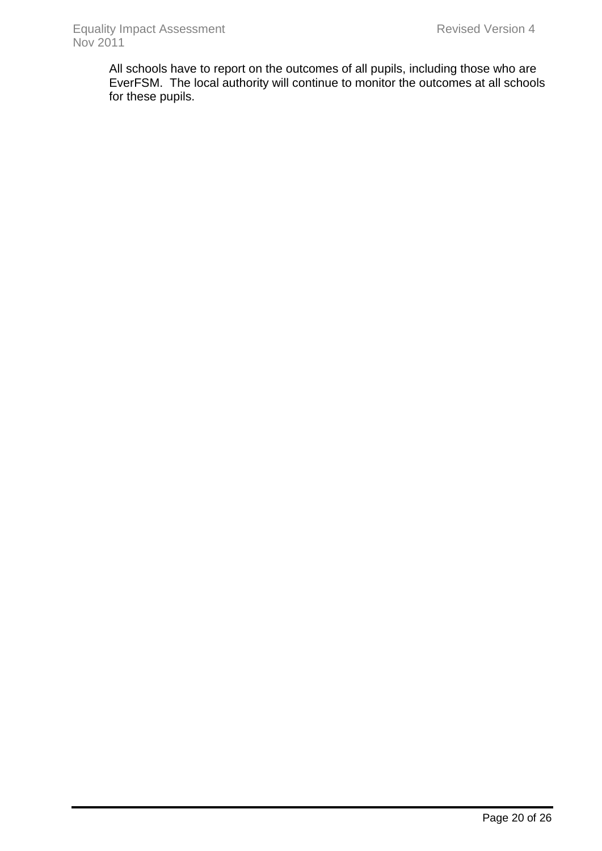All schools have to report on the outcomes of all pupils, including those who are EverFSM. The local authority will continue to monitor the outcomes at all schools for these pupils.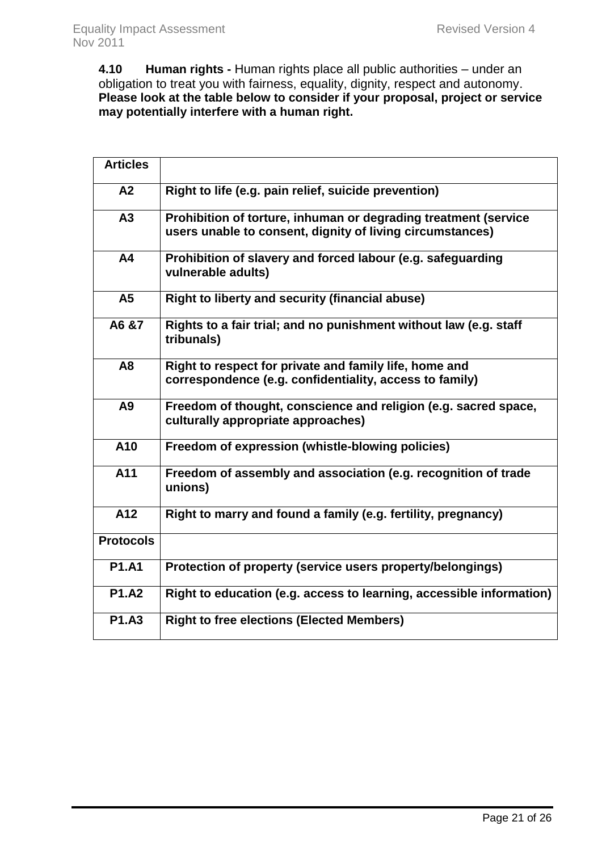**4.10 Human rights -** Human rights place all public authorities – under an obligation to treat you with fairness, equality, dignity, respect and autonomy. **Please look at the table below to consider if your proposal, project or service may potentially interfere with a human right.** 

| <b>Articles</b>  |                                                                                                                              |
|------------------|------------------------------------------------------------------------------------------------------------------------------|
| A2               | Right to life (e.g. pain relief, suicide prevention)                                                                         |
| A <sub>3</sub>   | Prohibition of torture, inhuman or degrading treatment (service<br>users unable to consent, dignity of living circumstances) |
| A4               | Prohibition of slavery and forced labour (e.g. safeguarding<br>vulnerable adults)                                            |
| A <sub>5</sub>   | <b>Right to liberty and security (financial abuse)</b>                                                                       |
| A6 &7            | Rights to a fair trial; and no punishment without law (e.g. staff<br>tribunals)                                              |
| A <sub>8</sub>   | Right to respect for private and family life, home and                                                                       |
|                  | correspondence (e.g. confidentiality, access to family)                                                                      |
| A <sub>9</sub>   | Freedom of thought, conscience and religion (e.g. sacred space,<br>culturally appropriate approaches)                        |
| A10              | Freedom of expression (whistle-blowing policies)                                                                             |
| A11              | Freedom of assembly and association (e.g. recognition of trade<br>unions)                                                    |
| A12              | Right to marry and found a family (e.g. fertility, pregnancy)                                                                |
| <b>Protocols</b> |                                                                                                                              |
| <b>P1.A1</b>     | Protection of property (service users property/belongings)                                                                   |
| <b>P1.A2</b>     | Right to education (e.g. access to learning, accessible information)                                                         |
| <b>P1.A3</b>     | <b>Right to free elections (Elected Members)</b>                                                                             |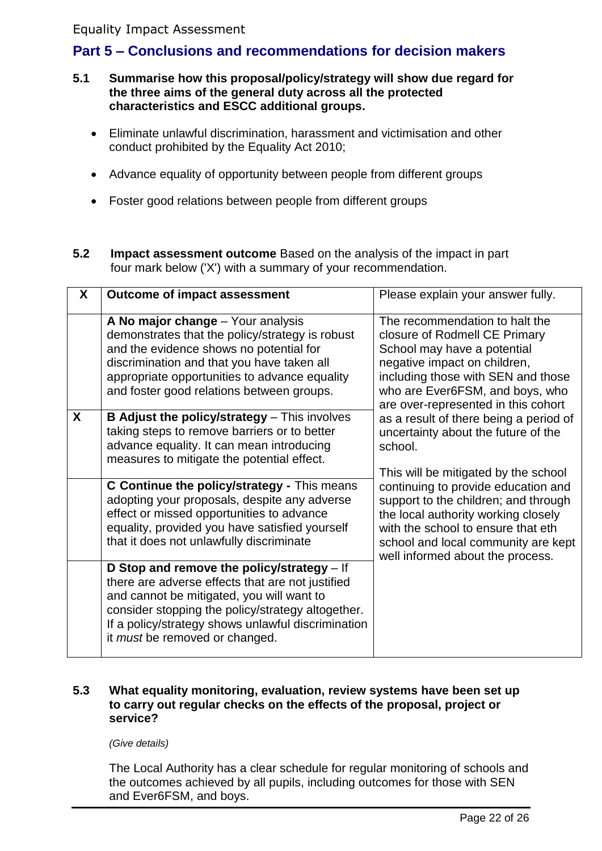# Equality Impact Assessment

# <span id="page-22-0"></span>**Part 5 – Conclusions and recommendations for decision makers**

- **5.1 Summarise how this proposal/policy/strategy will show due regard for the three aims of the general duty across all the protected characteristics and ESCC additional groups.**
	- Eliminate unlawful discrimination, harassment and victimisation and other conduct prohibited by the Equality Act 2010;
	- Advance equality of opportunity between people from different groups
	- Foster good relations between people from different groups
- **5.2 Impact assessment outcome** Based on the analysis of the impact in part four mark below ('X') with a summary of your recommendation.

| X | <b>Outcome of impact assessment</b>                                                                                                                                                                                                                                                      | Please explain your answer fully.                                                                                                                                                                                                              |
|---|------------------------------------------------------------------------------------------------------------------------------------------------------------------------------------------------------------------------------------------------------------------------------------------|------------------------------------------------------------------------------------------------------------------------------------------------------------------------------------------------------------------------------------------------|
|   | A No major change – Your analysis<br>demonstrates that the policy/strategy is robust<br>and the evidence shows no potential for<br>discrimination and that you have taken all<br>appropriate opportunities to advance equality<br>and foster good relations between groups.              | The recommendation to halt the<br>closure of Rodmell CE Primary<br>School may have a potential<br>negative impact on children,<br>including those with SEN and those<br>who are Ever6FSM, and boys, who<br>are over-represented in this cohort |
| X | <b>B Adjust the policy/strategy</b> – This involves<br>taking steps to remove barriers or to better<br>advance equality. It can mean introducing<br>measures to mitigate the potential effect.                                                                                           | as a result of there being a period of<br>uncertainty about the future of the<br>school.<br>This will be mitigated by the school                                                                                                               |
|   | C Continue the policy/strategy - This means<br>adopting your proposals, despite any adverse<br>effect or missed opportunities to advance<br>equality, provided you have satisfied yourself<br>that it does not unlawfully discriminate                                                   | continuing to provide education and<br>support to the children; and through<br>the local authority working closely<br>with the school to ensure that eth<br>school and local community are kept<br>well informed about the process.            |
|   | D Stop and remove the policy/strategy - If<br>there are adverse effects that are not justified<br>and cannot be mitigated, you will want to<br>consider stopping the policy/strategy altogether.<br>If a policy/strategy shows unlawful discrimination<br>it must be removed or changed. |                                                                                                                                                                                                                                                |

#### **5.3 What equality monitoring, evaluation, review systems have been set up to carry out regular checks on the effects of the proposal, project or service?**

*(Give details)*

The Local Authority has a clear schedule for regular monitoring of schools and the outcomes achieved by all pupils, including outcomes for those with SEN and Ever6FSM, and boys.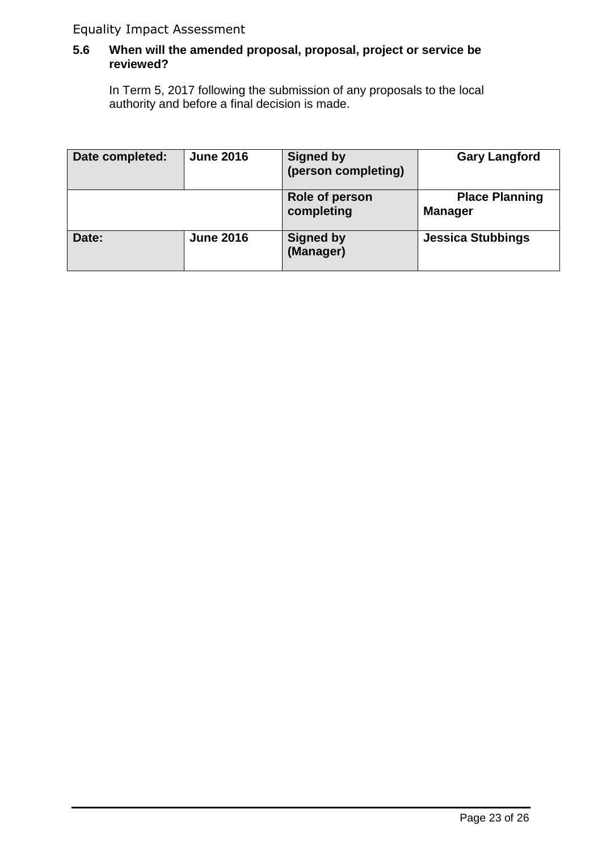# Equality Impact Assessment

### **5.6 When will the amended proposal, proposal, project or service be reviewed?**

In Term 5, 2017 following the submission of any proposals to the local authority and before a final decision is made.

| Date completed: | <b>June 2016</b> | <b>Signed by</b><br>(person completing) | <b>Gary Langford</b>                    |
|-----------------|------------------|-----------------------------------------|-----------------------------------------|
|                 |                  | Role of person<br>completing            | <b>Place Planning</b><br><b>Manager</b> |
| Date:           | <b>June 2016</b> | <b>Signed by</b><br>(Manager)           | <b>Jessica Stubbings</b>                |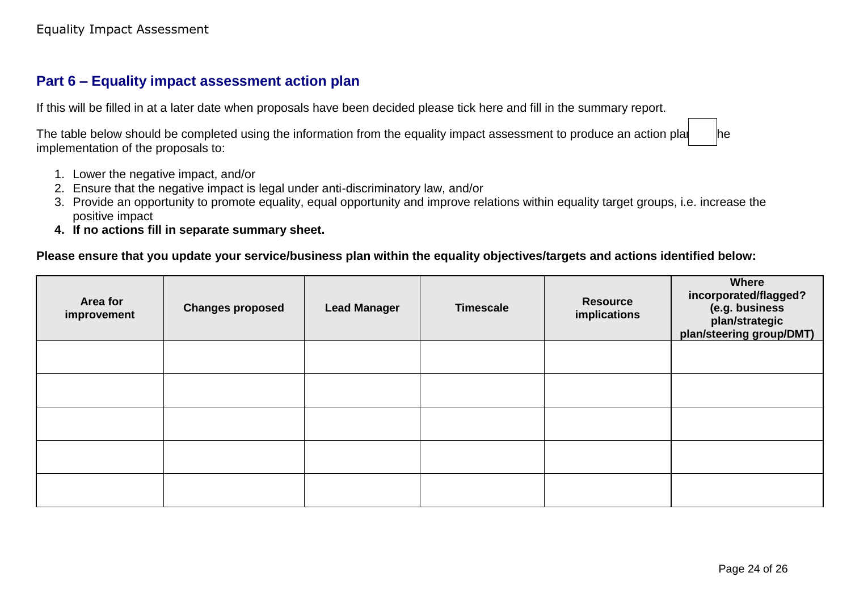# **Part 6 – Equality impact assessment action plan**

If this will be filled in at a later date when proposals have been decided please tick here and fill in the summary report.

The table below should be completed using the information from the equality impact assessment to produce an action plan  $\blacksquare$ implementation of the proposals to:

- 1. Lower the negative impact, and/or
- 2. Ensure that the negative impact is legal under anti-discriminatory law, and/or
- 3. Provide an opportunity to promote equality, equal opportunity and improve relations within equality target groups, i.e. increase the positive impact
- **4. If no actions fill in separate summary sheet.**

### <span id="page-24-0"></span>**Please ensure that you update your service/business plan within the equality objectives/targets and actions identified below:**

| Area for<br>improvement | <b>Changes proposed</b> | <b>Lead Manager</b> | <b>Timescale</b> | <b>Resource</b><br>implications | <b>Where</b><br>incorporated/flagged?<br>(e.g. business<br>plan/strategic<br>plan/steering group/DMT) |
|-------------------------|-------------------------|---------------------|------------------|---------------------------------|-------------------------------------------------------------------------------------------------------|
|                         |                         |                     |                  |                                 |                                                                                                       |
|                         |                         |                     |                  |                                 |                                                                                                       |
|                         |                         |                     |                  |                                 |                                                                                                       |
|                         |                         |                     |                  |                                 |                                                                                                       |
|                         |                         |                     |                  |                                 |                                                                                                       |